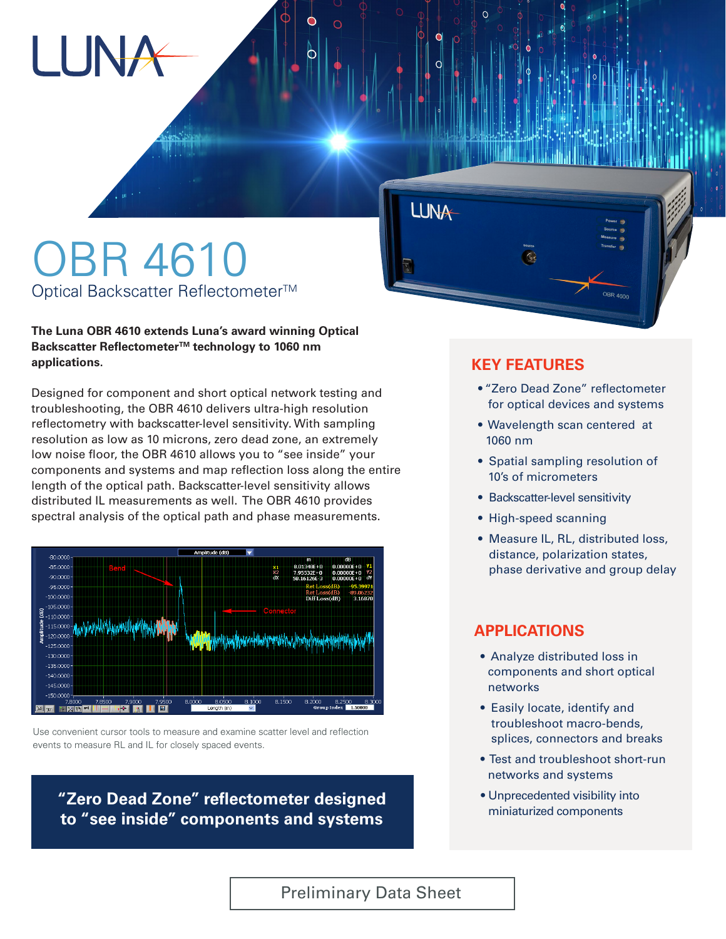

LUNA

**The Luna OBR 4610 extends Luna's award winning Optical Backscatter ReflectometerTM technology to 1060 nm applications.** 

Designed for component and short optical network testing and troubleshooting, the OBR 4610 delivers ultra-high resolution reflectometry with backscatter-level sensitivity. With sampling resolution as low as 10 microns, zero dead zone, an extremely low noise floor, the OBR 4610 allows you to "see inside" your components and systems and map reflection loss along the entire length of the optical path. Backscatter-level sensitivity allows distributed IL measurements as well. The OBR 4610 provides spectral analysis of the optical path and phase measurements.



Use convenient cursor tools to measure and examine scatter level and reflection events to measure RL and IL for closely spaced events.

miniaturized components **"Zero Dead Zone" reflectometer designed to "see inside" components and systems** 

## **KEY FEATURES**

**LUNA** 

- "Zero Dead Zone" reflectometer for optical devices and systems
- Wavelength scan centered at 1060 nm
- Spatial sampling resolution of 10's of micrometers
- Backscatter-level sensitivity
- High-speed scanning
- Measure IL, RL, distributed loss, distance, polarization states, phase derivative and group delay

## **APPLICATIONS**

- Analyze distributed loss in components and short optical networks
- Easily locate, identify and troubleshoot macro-bends, splices, connectors and breaks
- Test and troubleshoot short-run networks and systems
- Unprecedented visibility into

Preliminary Data Sheet